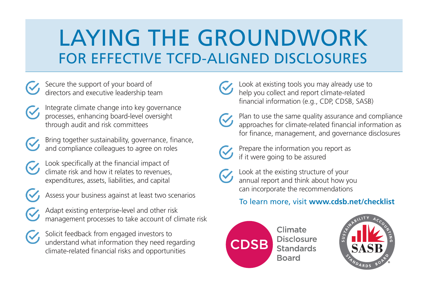# LAYING THE GROUNDWORK FOR EFFECTIVE TCFD-ALIGNED DISCLOSURES

- Secure the support of your board of directors and executive leadership team
- Integrate climate change into key governance processes, enhancing board-level oversight through audit and risk committees
- 
- Bring together sustainability, governance, finance, and compliance colleagues to agree on roles
- Look specifically at the financial impact of climate risk and how it relates to revenues, expenditures, assets, liabilities, and capital
- 
- Assess your business against at least two scenarios
- Adapt existing enterprise-level and other risk management processes to take account of climate risk
- Solicit feedback from engaged investors to understand what information they need regarding climate-related financial risks and opportunities

Look at existing tools you may already use to help you collect and report climate-related financial information (e.g., CDP, CDSB, SASB)

Plan to use the same quality assurance and compliance approaches for climate-related financial information as for finance, management, and governance disclosures



Prepare the information you report as if it were going to be assured



Look at the existing structure of your annual report and think about how you can incorporate the recommendations

### To learn more, visit **www.cdsb.net/checklist**



Climate **Disclosure Standards Board**